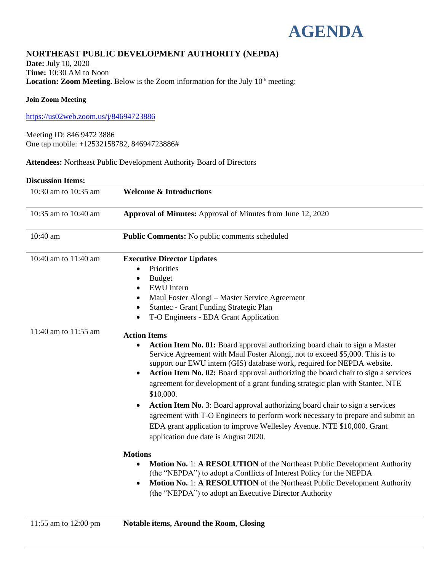

# **NORTHEAST PUBLIC DEVELOPMENT AUTHORITY (NEPDA)**

**Date:** July 10, 2020 **Time:** 10:30 AM to Noon Location: Zoom Meeting. Below is the Zoom information for the July 10<sup>th</sup> meeting:

### **Join Zoom Meeting**

<https://us02web.zoom.us/j/84694723886>

Meeting ID: 846 9472 3886 One tap mobile: +12532158782, 84694723886#

**Attendees:** Northeast Public Development Authority Board of Directors

### **Discussion Items:**

| 10:30 am to 10:35 am | <b>Welcome &amp; Introductions</b>                                                                                                                                                                                                                                                                                                                                                                                                                                                                                                                                                                                                                                                                                                                                           |
|----------------------|------------------------------------------------------------------------------------------------------------------------------------------------------------------------------------------------------------------------------------------------------------------------------------------------------------------------------------------------------------------------------------------------------------------------------------------------------------------------------------------------------------------------------------------------------------------------------------------------------------------------------------------------------------------------------------------------------------------------------------------------------------------------------|
| 10:35 am to 10:40 am | Approval of Minutes: Approval of Minutes from June 12, 2020                                                                                                                                                                                                                                                                                                                                                                                                                                                                                                                                                                                                                                                                                                                  |
| 10:40 am             | Public Comments: No public comments scheduled                                                                                                                                                                                                                                                                                                                                                                                                                                                                                                                                                                                                                                                                                                                                |
| 10:40 am to 11:40 am | <b>Executive Director Updates</b><br>Priorities<br>$\bullet$<br><b>Budget</b><br>٠<br><b>EWU</b> Intern<br>$\bullet$<br>Maul Foster Alongi – Master Service Agreement<br>$\bullet$<br>Stantec - Grant Funding Strategic Plan<br>$\bullet$<br>T-O Engineers - EDA Grant Application<br>٠                                                                                                                                                                                                                                                                                                                                                                                                                                                                                      |
| 11:40 am to 11:55 am | <b>Action Items</b><br>Action Item No. 01: Board approval authorizing board chair to sign a Master<br>$\bullet$<br>Service Agreement with Maul Foster Alongi, not to exceed \$5,000. This is to<br>support our EWU intern (GIS) database work, required for NEPDA website.<br>Action Item No. 02: Board approval authorizing the board chair to sign a services<br>$\bullet$<br>agreement for development of a grant funding strategic plan with Stantec. NTE<br>\$10,000.<br>Action Item No. 3: Board approval authorizing board chair to sign a services<br>$\bullet$<br>agreement with T-O Engineers to perform work necessary to prepare and submit an<br>EDA grant application to improve Wellesley Avenue. NTE \$10,000. Grant<br>application due date is August 2020. |
|                      | <b>Motions</b><br>Motion No. 1: A RESOLUTION of the Northeast Public Development Authority<br>(the "NEPDA") to adopt a Conflicts of Interest Policy for the NEPDA<br><b>Motion No. 1: A RESOLUTION</b> of the Northeast Public Development Authority<br>$\bullet$<br>(the "NEPDA") to adopt an Executive Director Authority                                                                                                                                                                                                                                                                                                                                                                                                                                                  |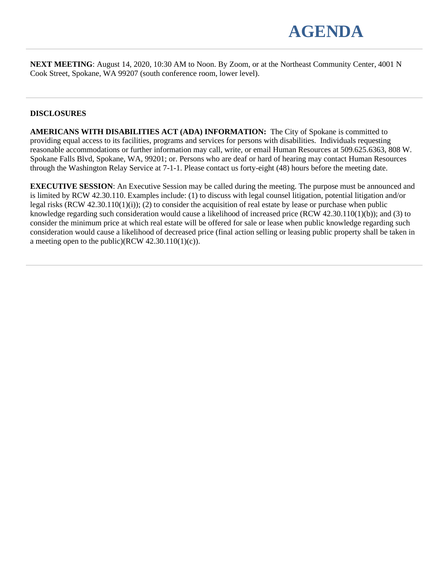

**NEXT MEETING**: August 14, 2020, 10:30 AM to Noon. By Zoom, or at the Northeast Community Center, 4001 N Cook Street, Spokane, WA 99207 (south conference room, lower level).

### **DISCLOSURES**

**AMERICANS WITH DISABILITIES ACT (ADA) INFORMATION:** The City of Spokane is committed to providing equal access to its facilities, programs and services for persons with disabilities. Individuals requesting reasonable accommodations or further information may call, write, or email Human Resources at 509.625.6363, 808 W. Spokane Falls Blvd, Spokane, WA, 99201; or. Persons who are deaf or hard of hearing may contact Human Resources through the Washington Relay Service at 7-1-1. Please contact us forty-eight (48) hours before the meeting date.

**EXECUTIVE SESSION:** An Executive Session may be called during the meeting. The purpose must be announced and is limited by RCW 42.30.110. Examples include: (1) to discuss with legal counsel litigation, potential litigation and/or legal risks (RCW 42.30.110(1)(i)); (2) to consider the acquisition of real estate by lease or purchase when public knowledge regarding such consideration would cause a likelihood of increased price (RCW 42.30.110(1)(b)); and (3) to consider the minimum price at which real estate will be offered for sale or lease when public knowledge regarding such consideration would cause a likelihood of decreased price (final action selling or leasing public property shall be taken in a meeting open to the public)(RCW  $42.30.110(1)(c)$ ).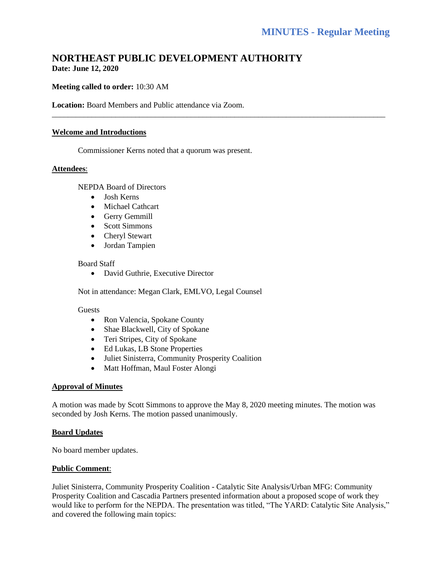# **NORTHEAST PUBLIC DEVELOPMENT AUTHORITY Date: June 12, 2020**

\_\_\_\_\_\_\_\_\_\_\_\_\_\_\_\_\_\_\_\_\_\_\_\_\_\_\_\_\_\_\_\_\_\_\_\_\_\_\_\_\_\_\_\_\_\_\_\_\_\_\_\_\_\_\_\_\_\_\_\_\_\_\_\_\_\_\_\_\_\_\_\_\_\_\_\_\_\_\_\_\_\_\_\_

### **Meeting called to order:** 10:30 AM

**Location:** Board Members and Public attendance via Zoom.

#### **Welcome and Introductions**

Commissioner Kerns noted that a quorum was present.

#### **Attendees**:

NEPDA Board of Directors

- Josh Kerns
- Michael Cathcart
- Gerry Gemmill
- Scott Simmons
- Cheryl Stewart
- Jordan Tampien

#### Board Staff

• David Guthrie, Executive Director

Not in attendance: Megan Clark, EMLVO, Legal Counsel

#### Guests

- Ron Valencia, Spokane County
- Shae Blackwell, City of Spokane
- Teri Stripes, City of Spokane
- Ed Lukas, LB Stone Properties
- Juliet Sinisterra, Community Prosperity Coalition
- Matt Hoffman, Maul Foster Alongi

### **Approval of Minutes**

A motion was made by Scott Simmons to approve the May 8, 2020 meeting minutes. The motion was seconded by Josh Kerns. The motion passed unanimously.

#### **Board Updates**

No board member updates.

### **Public Comment**:

Juliet Sinisterra, Community Prosperity Coalition - Catalytic Site Analysis/Urban MFG: Community Prosperity Coalition and Cascadia Partners presented information about a proposed scope of work they would like to perform for the NEPDA. The presentation was titled, "The YARD: Catalytic Site Analysis," and covered the following main topics: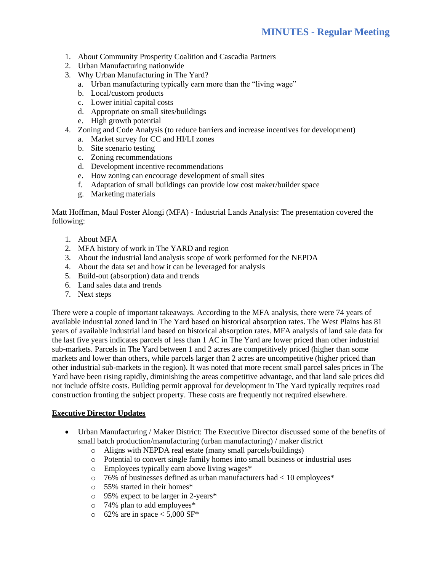- 1. About Community Prosperity Coalition and Cascadia Partners
- 2. Urban Manufacturing nationwide
- 3. Why Urban Manufacturing in The Yard?
	- a. Urban manufacturing typically earn more than the "living wage"
	- b. Local/custom products
	- c. Lower initial capital costs
	- d. Appropriate on small sites/buildings
	- e. High growth potential
- 4. Zoning and Code Analysis (to reduce barriers and increase incentives for development)
	- a. Market survey for CC and HI/LI zones
	- b. Site scenario testing
	- c. Zoning recommendations
	- d. Development incentive recommendations
	- e. How zoning can encourage development of small sites
	- f. Adaptation of small buildings can provide low cost maker/builder space
	- g. Marketing materials

Matt Hoffman, Maul Foster Alongi (MFA) - Industrial Lands Analysis: The presentation covered the following:

- 1. About MFA
- 2. MFA history of work in The YARD and region
- 3. About the industrial land analysis scope of work performed for the NEPDA
- 4. About the data set and how it can be leveraged for analysis
- 5. Build-out (absorption) data and trends
- 6. Land sales data and trends
- 7. Next steps

There were a couple of important takeaways. According to the MFA analysis, there were 74 years of available industrial zoned land in The Yard based on historical absorption rates. The West Plains has 81 years of available industrial land based on historical absorption rates. MFA analysis of land sale data for the last five years indicates parcels of less than 1 AC in The Yard are lower priced than other industrial sub-markets. Parcels in The Yard between 1 and 2 acres are competitively priced (higher than some markets and lower than others, while parcels larger than 2 acres are uncompetitive (higher priced than other industrial sub-markets in the region). It was noted that more recent small parcel sales prices in The Yard have been rising rapidly, diminishing the areas competitive advantage, and that land sale prices did not include offsite costs. Building permit approval for development in The Yard typically requires road construction fronting the subject property. These costs are frequently not required elsewhere.

# **Executive Director Updates**

- Urban Manufacturing / Maker District: The Executive Director discussed some of the benefits of small batch production/manufacturing (urban manufacturing) / maker district
	- o Aligns with NEPDA real estate (many small parcels/buildings)
	- o Potential to convert single family homes into small business or industrial uses
	- o Employees typically earn above living wages\*
	- o 76% of businesses defined as urban manufacturers had < 10 employees\*
	- o 55% started in their homes\*
	- o 95% expect to be larger in 2-years\*
	- o 74% plan to add employees\*
	- $\circ$  62% are in space < 5,000 SF\*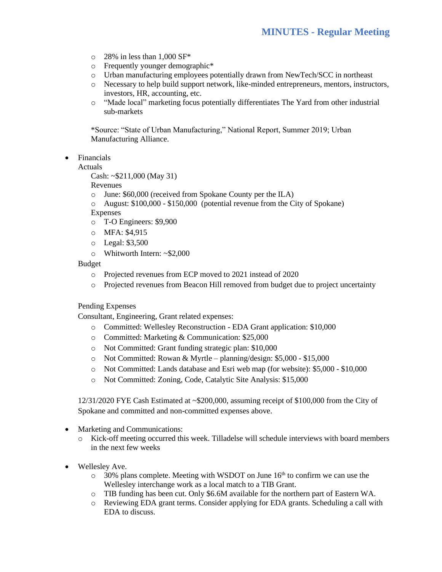- $\circ$  28% in less than 1,000 SF\*
- o Frequently younger demographic\*
- o Urban manufacturing employees potentially drawn from NewTech/SCC in northeast
- o Necessary to help build support network, like-minded entrepreneurs, mentors, instructors, investors, HR, accounting, etc.
- o "Made local" marketing focus potentially differentiates The Yard from other industrial sub-markets

\*Source: "State of Urban Manufacturing," National Report, Summer 2019; Urban Manufacturing Alliance.

• Financials

Actuals

Cash: ~\$211,000 (May 31)

Revenues

- o June: \$60,000 (received from Spokane County per the ILA)
- o August: \$100,000 \$150,000 (potential revenue from the City of Spokane)

Expenses

- o T-O Engineers: \$9,900
- o MFA: \$4,915
- o Legal: \$3,500
- o Whitworth Intern: ~\$2,000

Budget

- o Projected revenues from ECP moved to 2021 instead of 2020
- o Projected revenues from Beacon Hill removed from budget due to project uncertainty

Pending Expenses

Consultant, Engineering, Grant related expenses:

- o Committed: Wellesley Reconstruction EDA Grant application: \$10,000
- o Committed: Marketing & Communication: \$25,000
- o Not Committed: Grant funding strategic plan: \$10,000
- o Not Committed: Rowan & Myrtle planning/design: \$5,000 \$15,000
- o Not Committed: Lands database and Esri web map (for website): \$5,000 \$10,000
- o Not Committed: Zoning, Code, Catalytic Site Analysis: \$15,000

12/31/2020 FYE Cash Estimated at ~\$200,000, assuming receipt of \$100,000 from the City of Spokane and committed and non-committed expenses above.

- Marketing and Communications:
	- o Kick-off meeting occurred this week. Tilladelse will schedule interviews with board members in the next few weeks
- Wellesley Ave.
	- $\circ$  30% plans complete. Meeting with WSDOT on June 16<sup>th</sup> to confirm we can use the Wellesley interchange work as a local match to a TIB Grant.
	- o TIB funding has been cut. Only \$6.6M available for the northern part of Eastern WA.
	- o Reviewing EDA grant terms. Consider applying for EDA grants. Scheduling a call with EDA to discuss.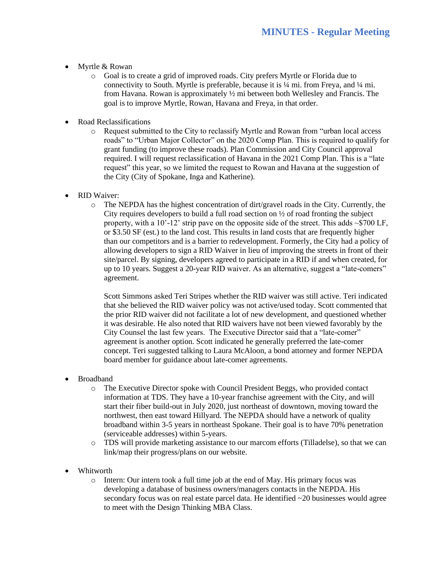- Myrtle & Rowan
	- o Goal is to create a grid of improved roads. City prefers Myrtle or Florida due to connectivity to South. Myrtle is preferable, because it is  $\frac{1}{4}$  mi. from Freya, and  $\frac{1}{4}$  mi. from Havana. Rowan is approximately ½ mi between both Wellesley and Francis. The goal is to improve Myrtle, Rowan, Havana and Freya, in that order.
- Road Reclassifications
	- o Request submitted to the City to reclassify Myrtle and Rowan from "urban local access roads" to "Urban Major Collector" on the 2020 Comp Plan. This is required to qualify for grant funding (to improve these roads). Plan Commission and City Council approval required. I will request reclassification of Havana in the 2021 Comp Plan. This is a "late request" this year, so we limited the request to Rowan and Havana at the suggestion of the City (City of Spokane, Inga and Katherine).
- RID Waiver:
	- $\circ$  The NEPDA has the highest concentration of dirt/gravel roads in the City. Currently, the City requires developers to build a full road section on  $\frac{1}{2}$  of road fronting the subject property, with a 10'-12' strip pave on the opposite side of the street. This adds  $\sim$ \$700 LF, or \$3.50 SF (est.) to the land cost. This results in land costs that are frequently higher than our competitors and is a barrier to redevelopment. Formerly, the City had a policy of allowing developers to sign a RID Waiver in lieu of improving the streets in front of their site/parcel. By signing, developers agreed to participate in a RID if and when created, for up to 10 years. Suggest a 20-year RID waiver. As an alternative, suggest a "late-comers" agreement.

Scott Simmons asked Teri Stripes whether the RID waiver was still active. Teri indicated that she believed the RID waiver policy was not active/used today. Scott commented that the prior RID waiver did not facilitate a lot of new development, and questioned whether it was desirable. He also noted that RID waivers have not been viewed favorably by the City Counsel the last few years. The Executive Director said that a "late-comer" agreement is another option. Scott indicated he generally preferred the late-comer concept. Teri suggested talking to Laura McAloon, a bond attorney and former NEPDA board member for guidance about late-comer agreements.

- Broadband
	- o The Executive Director spoke with Council President Beggs, who provided contact information at TDS. They have a 10-year franchise agreement with the City, and will start their fiber build-out in July 2020, just northeast of downtown, moving toward the northwest, then east toward Hillyard. The NEPDA should have a network of quality broadband within 3-5 years in northeast Spokane. Their goal is to have 70% penetration (serviceable addresses) within 5-years.
	- o TDS will provide marketing assistance to our marcom efforts (Tilladelse), so that we can link/map their progress/plans on our website.
- Whitworth
	- o Intern: Our intern took a full time job at the end of May. His primary focus was developing a database of business owners/managers contacts in the NEPDA. His secondary focus was on real estate parcel data. He identified ~20 businesses would agree to meet with the Design Thinking MBA Class.